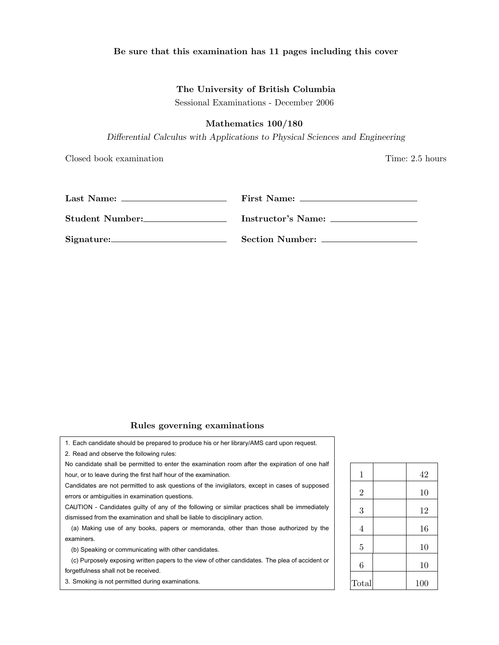### Be sure that this examination has 11 pages including this cover

### The University of British Columbia

Sessional Examinations - December 2006

# Mathematics 100/180

*Differential Calculus with Applications to Physical Sciences and Engineering*

Closed book examination Time: 2.5 hours

| Last Name:      | First Name:     |
|-----------------|-----------------|
| Student Number: |                 |
|                 | Section Number: |

# Rules governing examinations

1. Each candidate should be prepared to produce his or her library/AMS card upon request. 2. Read and observe the following rules:

No candidate shall be permitted to enter the examination room after the expiration of one half hour, or to leave during the first half hour of the examination.

Candidates are not permitted to ask questions of the invigilators, except in cases of supposed errors or ambiguities in examination questions.

CAUTION - Candidates guilty of any of the following or similar practices shall be immediately dismissed from the examination and shall be liable to disciplinary action.

(a) Making use of any books, papers or memoranda, other than those authorized by the examiners.

(b) Speaking or communicating with other candidates.

(c) Purposely exposing written papers to the view of other candidates. The plea of accident or forgetfulness shall not be received.

3. Smoking is not permitted during examinations.

| $\mathbf{1}$   | 42  |
|----------------|-----|
| $\overline{2}$ | 10  |
| 3              | 12  |
| $\overline{4}$ | 16  |
| $\overline{5}$ | 10  |
| 6              | 10  |
| Total          | 100 |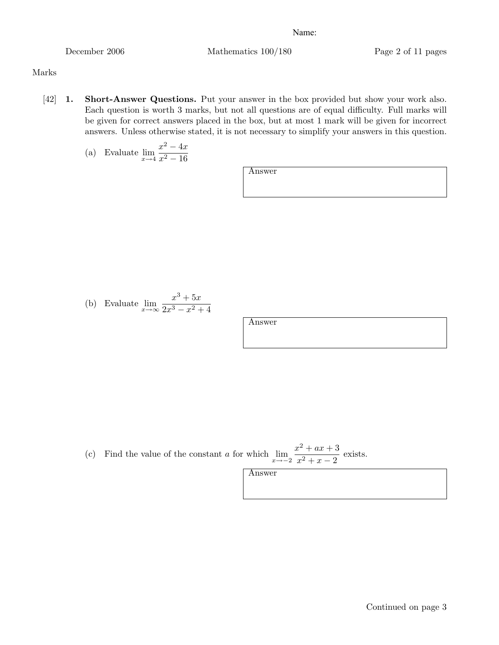December 2006 Mathematics 100/180 Page 2 of 11 pages

## Marks

[42] **1.** Short-Answer Questions. Put your answer in the box provided but show your work also. Each question is worth 3 marks, but not all questions are of equal difficulty. Full marks will be given for correct answers placed in the box, but at most 1 mark will be given for incorrect answers. Unless otherwise stated, it is not necessary to simplify your answers in this question.

(a) Evaluate 
$$
\lim_{x \to 4} \frac{x^2 - 4x}{x^2 - 16}
$$

Answer

(b) Evaluate 
$$
\lim_{x \to \infty} \frac{x^3 + 5x}{2x^3 - x^2 + 4}
$$

Answer

(c) Find the value of the constant *a* for which 
$$
\lim_{x \to -2} \frac{x^2 + ax + 3}{x^2 + x - 2}
$$
 exists.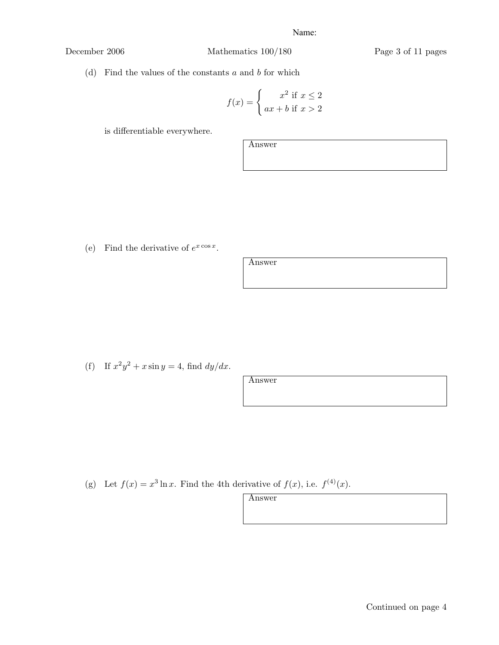December 2006 Mathematics 100/180 Page 3 of 11 pages

(d) Find the values of the constants *a* and *b* for which

$$
f(x) = \begin{cases} x^2 \text{ if } x \le 2\\ ax + b \text{ if } x > 2 \end{cases}
$$

is differentiable everywhere.

Answer

(e) Find the derivative of  $e^{x \cos x}$ .

Answer

(f) If  $x^2y^2 + x \sin y = 4$ , find  $dy/dx$ .

Answer

(g) Let  $f(x) = x^3 \ln x$ . Find the 4th derivative of  $f(x)$ , i.e.  $f^{(4)}(x)$ .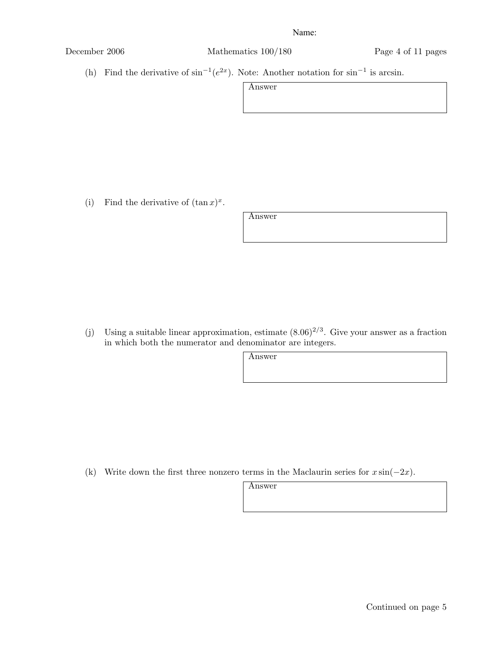December 2006 Mathematics 100/180 Page 4 of 11 pages

(h) Find the derivative of  $\sin^{-1}(e^{2x})$ . Note: Another notation for  $\sin^{-1}$  is arcsin.

| Answer |  |
|--------|--|
|        |  |

(i) Find the derivative of  $(\tan x)^x$ .

Answer

(j) Using a suitable linear approximation, estimate  $(8.06)^{2/3}$ . Give your answer as a fraction in which both the numerator and denominator are integers.

Answer

(k) Write down the first three nonzero terms in the Maclaurin series for *x* sin(*−*2*x*).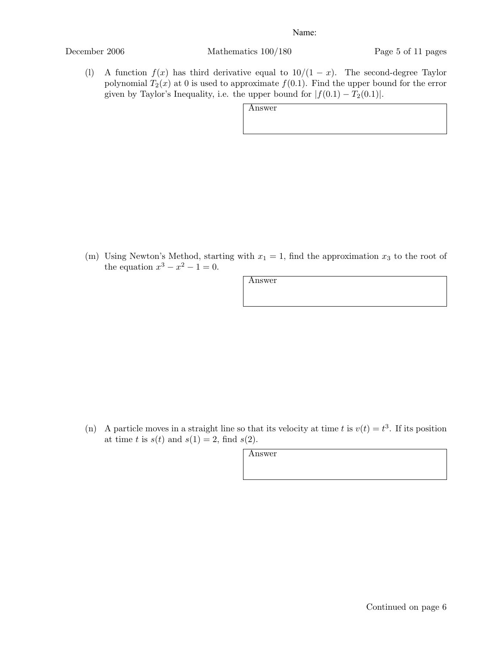December 2006 Mathematics 100/180 Page 5 of 11 pages

(l) A function  $f(x)$  has third derivative equal to  $10/(1-x)$ . The second-degree Taylor polynomial  $T_2(x)$  at 0 is used to approximate  $f(0.1)$ . Find the upper bound for the error given by Taylor's Inequality, i.e. the upper bound for  $|f(0.1) - T_2(0.1)|$ .

Answer

(m) Using Newton's Method, starting with  $x_1 = 1$ , find the approximation  $x_3$  to the root of the equation  $x^3 - x^2 - 1 = 0$ .

Answer

(n) A particle moves in a straight line so that its velocity at time *t* is  $v(t) = t^3$ . If its position at time *t* is  $s(t)$  and  $s(1) = 2$ , find  $s(2)$ .

| ٩ |  |
|---|--|
|   |  |

Continued on page 6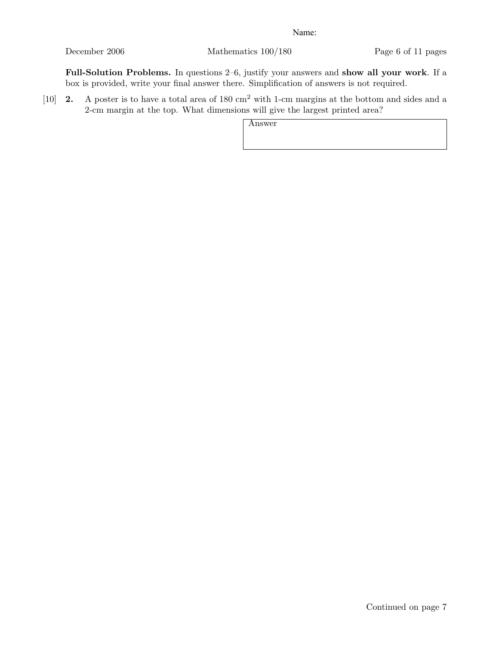December 2006 Mathematics 100/180 Page 6 of 11 pages

Full-Solution Problems. In questions 2–6, justify your answers and show all your work. If a box is provided, write your final answer there. Simplification of answers is not required.

[10] **2.** A poster is to have a total area of 180 cm<sup>2</sup> with 1-cm margins at the bottom and sides and a 2-cm margin at the top. What dimensions will give the largest printed area?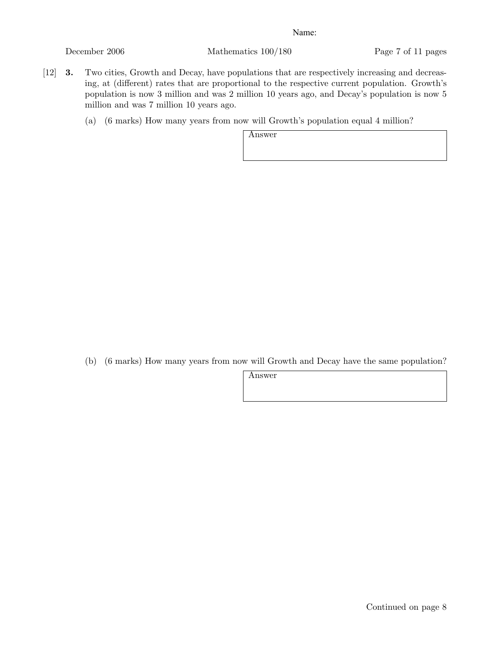December 2006 Mathematics 100/180 Page 7 of 11 pages

- [12] 3. Two cities, Growth and Decay, have populations that are respectively increasing and decreasing, at (different) rates that are proportional to the respective current population. Growth's population is now 3 million and was 2 million 10 years ago, and Decay's population is now 5 million and was 7 million 10 years ago.
	- (a) (6 marks) How many years from now will Growth's population equal 4 million?

Answer

(b) (6 marks) How many years from now will Growth and Decay have the same population?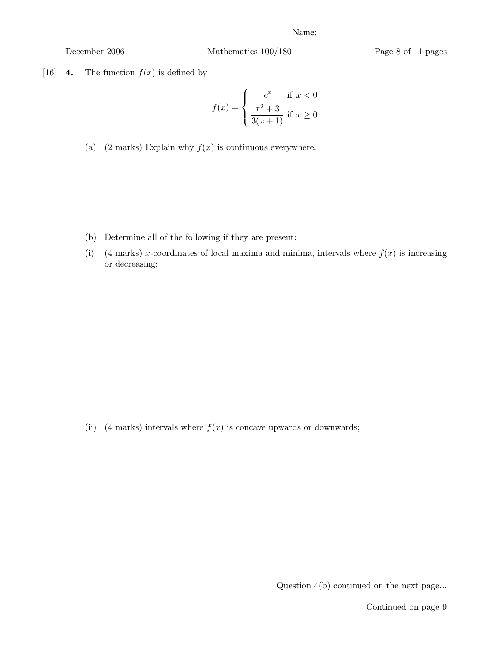December 2006 Mathematics 100/180 Page 8 of 11 pages

[16] **4.** The function  $f(x)$  is defined by

$$
f(x) = \begin{cases} e^x & \text{if } x < 0\\ \frac{x^2 + 3}{3(x+1)} & \text{if } x \ge 0 \end{cases}
$$

(a)  $(2 \text{ marks})$  Explain why  $f(x)$  is continuous everywhere.

- (b) Determine all of the following if they are present:
- (i) (4 marks) *x*-coordinates of local maxima and minima, intervals where  $f(x)$  is increasing or decreasing;

(ii) (4 marks) intervals where  $f(x)$  is concave upwards or downwards;

Question 4(b) continued on the next page...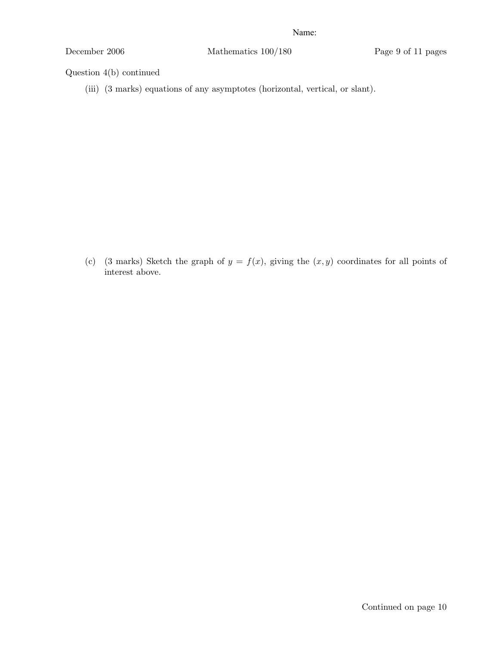December 2006 Mathematics 100/180 Page 9 of 11 pages

Question 4(b) continued

(iii) (3 marks) equations of any asymptotes (horizontal, vertical, or slant).

(c) (3 marks) Sketch the graph of  $y = f(x)$ , giving the  $(x, y)$  coordinates for all points of interest above.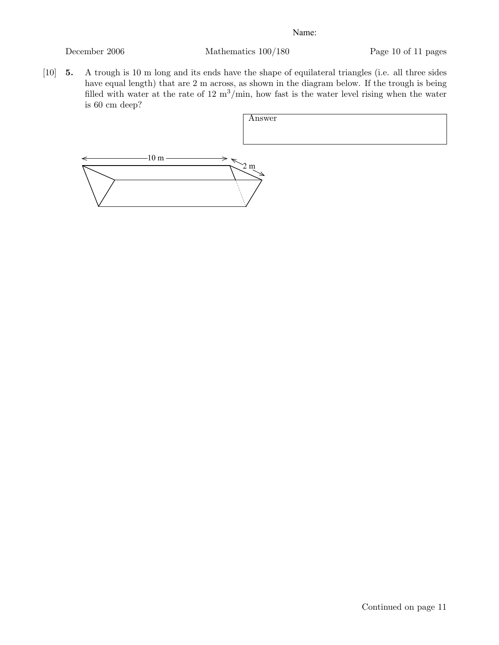December 2006 Mathematics 100/180 Page 10 of 11 pages

[10] 5. A trough is 10 m long and its ends have the shape of equilateral triangles (i.e. all three sides have equal length) that are 2 m across, as shown in the diagram below. If the trough is being filled with water at the rate of  $12 \text{ m}^3/\text{min}$ , how fast is the water level rising when the water is 60 cm deep?